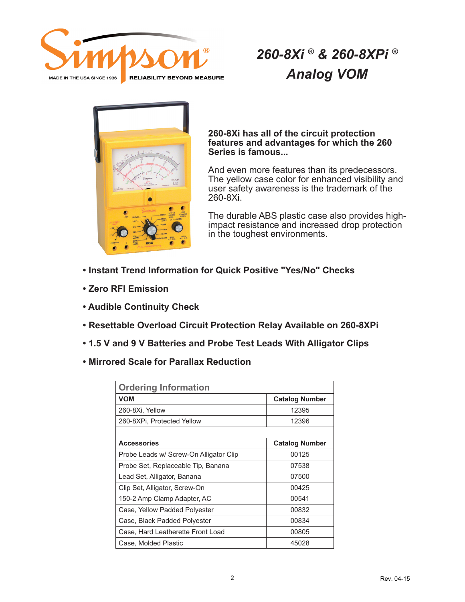

## *260-8Xi ® & 260-8XPi ® Analog VOM*



#### **260-8Xi has all of the circuit protection features and advantages for which the 260 Series is famous...**

And even more features than its predecessors. The yellow case color for enhanced visibility and user safety awareness is the trademark of the 260-8Xi.

The durable ABS plastic case also provides highimpact resistance and increased drop protection in the toughest environments.

- **Instant Trend Information for Quick Positive "Yes/No" Checks**
- **Zero RFI Emission**
- **Audible Continuity Check**
- **Resettable Overload Circuit Protection Relay Available on 260-8XPi**
- **1.5 V and 9 V Batteries and Probe Test Leads With Alligator Clips**
- **Mirrored Scale for Parallax Reduction**

| <b>Ordering Information</b>            |                       |
|----------------------------------------|-----------------------|
| <b>VOM</b>                             | <b>Catalog Number</b> |
| 260-8Xi, Yellow                        | 12395                 |
| 260-8XPi, Protected Yellow             | 12396                 |
|                                        |                       |
| <b>Accessories</b>                     | <b>Catalog Number</b> |
| Probe Leads w/ Screw-On Alligator Clip | 00125                 |
| Probe Set, Replaceable Tip, Banana     | 07538                 |
| Lead Set, Alligator, Banana            | 07500                 |
| Clip Set, Alligator, Screw-On          | 00425                 |
| 150-2 Amp Clamp Adapter, AC            | 00541                 |
| Case, Yellow Padded Polyester          | 00832                 |
| Case, Black Padded Polyester           | 00834                 |
| Case, Hard Leatherette Front Load      | 00805                 |
| Case, Molded Plastic                   | 45028                 |